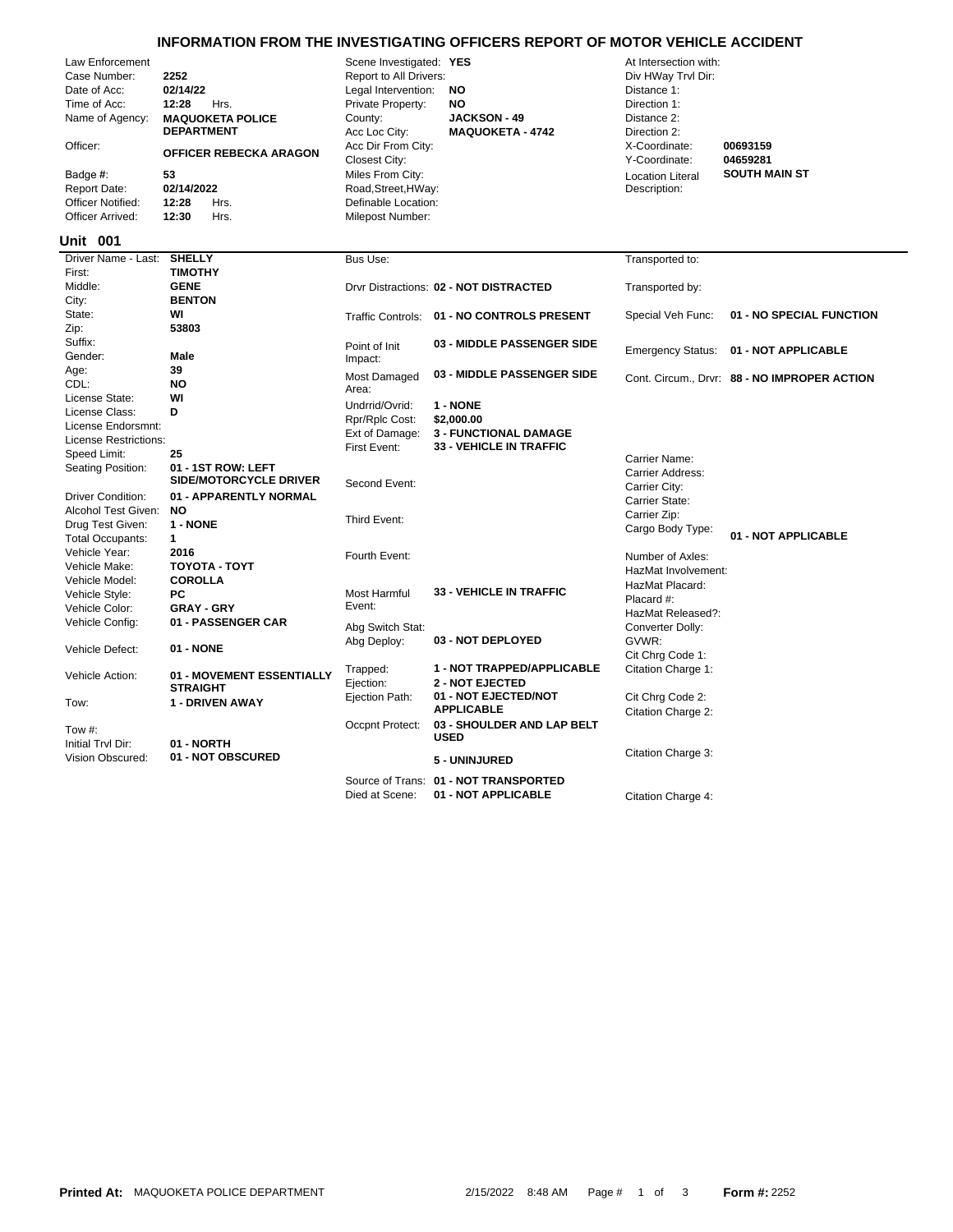## **INFORMATION FROM THE INVESTIGATING OFFICERS REPORT OF MOTOR VEHICLE ACCIDENT**

| Law Enforcement<br>Case Number:<br>Date of Acc:<br>Time of Acc:<br>Name of Agency:<br>Officer:<br>Badge #:<br><b>Report Date:</b><br><b>Officer Notified:</b><br>Officer Arrived: | 2252<br>02/14/22<br>12:28<br>Hrs.<br><b>MAQUOKETA POLICE</b><br><b>DEPARTMENT</b><br>OFFICER REBECKA ARAGON<br>53<br>02/14/2022<br>12:28<br>Hrs.<br>12:30<br>Hrs. | Scene Investigated: YES<br>Report to All Drivers:<br>Legal Intervention:<br>Private Property:<br>County:<br>Acc Loc City:<br>Acc Dir From City:<br>Closest City:<br>Miles From City:<br>Road, Street, HWay:<br>Definable Location:<br>Milepost Number: | NO<br><b>NO</b><br><b>JACKSON - 49</b><br><b>MAQUOKETA - 4742</b>            | At Intersection with:<br>Div HWay Trvl Dir:<br>Distance 1:<br>Direction 1:<br>Distance 2:<br>Direction 2:<br>X-Coordinate:<br>Y-Coordinate:<br><b>Location Literal</b><br>Description: | 00693159<br>04659281<br><b>SOUTH MAIN ST</b> |
|-----------------------------------------------------------------------------------------------------------------------------------------------------------------------------------|-------------------------------------------------------------------------------------------------------------------------------------------------------------------|--------------------------------------------------------------------------------------------------------------------------------------------------------------------------------------------------------------------------------------------------------|------------------------------------------------------------------------------|----------------------------------------------------------------------------------------------------------------------------------------------------------------------------------------|----------------------------------------------|
| <b>Unit 001</b>                                                                                                                                                                   |                                                                                                                                                                   |                                                                                                                                                                                                                                                        |                                                                              |                                                                                                                                                                                        |                                              |
| Driver Name - Last:<br>First:                                                                                                                                                     | <b>SHELLY</b><br><b>TIMOTHY</b>                                                                                                                                   | Bus Use:                                                                                                                                                                                                                                               |                                                                              | Transported to:                                                                                                                                                                        |                                              |
| Middle:                                                                                                                                                                           | <b>GENE</b>                                                                                                                                                       |                                                                                                                                                                                                                                                        | Drvr Distractions: 02 - NOT DISTRACTED                                       | Transported by:                                                                                                                                                                        |                                              |
| City:                                                                                                                                                                             | <b>BENTON</b>                                                                                                                                                     |                                                                                                                                                                                                                                                        |                                                                              |                                                                                                                                                                                        |                                              |
| State:                                                                                                                                                                            | WI                                                                                                                                                                |                                                                                                                                                                                                                                                        | Traffic Controls: 01 - NO CONTROLS PRESENT                                   | Special Veh Func:                                                                                                                                                                      | 01 - NO SPECIAL FUNCTION                     |
| Zip:                                                                                                                                                                              | 53803                                                                                                                                                             |                                                                                                                                                                                                                                                        |                                                                              |                                                                                                                                                                                        |                                              |
| Suffix:                                                                                                                                                                           |                                                                                                                                                                   | Point of Init                                                                                                                                                                                                                                          | 03 - MIDDLE PASSENGER SIDE                                                   | <b>Emergency Status:</b>                                                                                                                                                               | 01 - NOT APPLICABLE                          |
| Gender:                                                                                                                                                                           | Male                                                                                                                                                              | Impact:                                                                                                                                                                                                                                                |                                                                              |                                                                                                                                                                                        |                                              |
| Age:                                                                                                                                                                              | 39                                                                                                                                                                | Most Damaged                                                                                                                                                                                                                                           | 03 - MIDDLE PASSENGER SIDE                                                   |                                                                                                                                                                                        | Cont. Circum., Drvr: 88 - NO IMPROPER ACTION |
| CDL:                                                                                                                                                                              | <b>NO</b>                                                                                                                                                         | Area:                                                                                                                                                                                                                                                  |                                                                              |                                                                                                                                                                                        |                                              |
| License State:<br>License Class:                                                                                                                                                  | WI<br>D                                                                                                                                                           | Undrrid/Ovrid:                                                                                                                                                                                                                                         | 1 - NONE                                                                     |                                                                                                                                                                                        |                                              |
| License Endorsmnt:                                                                                                                                                                |                                                                                                                                                                   | Rpr/Rplc Cost:                                                                                                                                                                                                                                         | \$2,000.00                                                                   |                                                                                                                                                                                        |                                              |
| License Restrictions:                                                                                                                                                             |                                                                                                                                                                   | Ext of Damage:                                                                                                                                                                                                                                         | <b>3 - FUNCTIONAL DAMAGE</b>                                                 |                                                                                                                                                                                        |                                              |
| Speed Limit:                                                                                                                                                                      | 25                                                                                                                                                                | First Event:                                                                                                                                                                                                                                           | 33 - VEHICLE IN TRAFFIC                                                      |                                                                                                                                                                                        |                                              |
| Seating Position:                                                                                                                                                                 | 01 - 1ST ROW: LEFT<br><b>SIDE/MOTORCYCLE DRIVER</b>                                                                                                               | Second Event:                                                                                                                                                                                                                                          |                                                                              | Carrier Name:<br>Carrier Address:<br>Carrier City:                                                                                                                                     |                                              |
| <b>Driver Condition:</b>                                                                                                                                                          | 01 - APPARENTLY NORMAL                                                                                                                                            |                                                                                                                                                                                                                                                        |                                                                              | Carrier State:                                                                                                                                                                         |                                              |
| Alcohol Test Given:                                                                                                                                                               | <b>NO</b>                                                                                                                                                         |                                                                                                                                                                                                                                                        |                                                                              | Carrier Zip:                                                                                                                                                                           |                                              |
| Drug Test Given:                                                                                                                                                                  | 1 - NONE                                                                                                                                                          | Third Event:                                                                                                                                                                                                                                           |                                                                              | Cargo Body Type:                                                                                                                                                                       |                                              |
| <b>Total Occupants:</b>                                                                                                                                                           | $\mathbf{1}$                                                                                                                                                      |                                                                                                                                                                                                                                                        |                                                                              |                                                                                                                                                                                        | 01 - NOT APPLICABLE                          |
| Vehicle Year:                                                                                                                                                                     | 2016                                                                                                                                                              | Fourth Event:                                                                                                                                                                                                                                          |                                                                              | Number of Axles:                                                                                                                                                                       |                                              |
| Vehicle Make:                                                                                                                                                                     | ΤΟΥΟΤΑ - ΤΟΥΤ                                                                                                                                                     |                                                                                                                                                                                                                                                        |                                                                              | HazMat Involvement:                                                                                                                                                                    |                                              |
| Vehicle Model:                                                                                                                                                                    | <b>COROLLA</b>                                                                                                                                                    |                                                                                                                                                                                                                                                        | <b>33 - VEHICLE IN TRAFFIC</b>                                               | HazMat Placard:                                                                                                                                                                        |                                              |
| Vehicle Style:                                                                                                                                                                    | PC.                                                                                                                                                               | Most Harmful<br>Event:                                                                                                                                                                                                                                 |                                                                              | Placard #:                                                                                                                                                                             |                                              |
| Vehicle Color:<br>Vehicle Config:                                                                                                                                                 | <b>GRAY - GRY</b><br>01 - PASSENGER CAR                                                                                                                           |                                                                                                                                                                                                                                                        |                                                                              | HazMat Released?:                                                                                                                                                                      |                                              |
|                                                                                                                                                                                   |                                                                                                                                                                   | Abg Switch Stat:                                                                                                                                                                                                                                       |                                                                              | Converter Dolly:                                                                                                                                                                       |                                              |
| Vehicle Defect:                                                                                                                                                                   | 01 - NONE                                                                                                                                                         | Abg Deploy:                                                                                                                                                                                                                                            | 03 - NOT DEPLOYED                                                            | GVWR:                                                                                                                                                                                  |                                              |
|                                                                                                                                                                                   |                                                                                                                                                                   |                                                                                                                                                                                                                                                        |                                                                              | Cit Chrg Code 1:                                                                                                                                                                       |                                              |
| Vehicle Action:                                                                                                                                                                   | 01 - MOVEMENT ESSENTIALLY<br><b>STRAIGHT</b>                                                                                                                      | Trapped:<br>Ejection:                                                                                                                                                                                                                                  | 1 - NOT TRAPPED/APPLICABLE<br><b>2 - NOT EJECTED</b><br>01 - NOT EJECTED/NOT | Citation Charge 1:                                                                                                                                                                     |                                              |
| Tow:                                                                                                                                                                              | <b>1 - DRIVEN AWAY</b>                                                                                                                                            | Ejection Path:                                                                                                                                                                                                                                         | <b>APPLICABLE</b>                                                            | Cit Chrg Code 2:<br>Citation Charge 2:                                                                                                                                                 |                                              |
| Tow #:<br>Initial Trvl Dir:                                                                                                                                                       | 01 - NORTH                                                                                                                                                        | Occpnt Protect:                                                                                                                                                                                                                                        | 03 - SHOULDER AND LAP BELT<br><b>USED</b>                                    |                                                                                                                                                                                        |                                              |
| Vision Obscured:                                                                                                                                                                  | 01 - NOT OBSCURED                                                                                                                                                 |                                                                                                                                                                                                                                                        | 5 - UNINJURED                                                                | Citation Charge 3:                                                                                                                                                                     |                                              |
|                                                                                                                                                                                   |                                                                                                                                                                   |                                                                                                                                                                                                                                                        | Source of Trans: 01 - NOT TRANSPORTED                                        |                                                                                                                                                                                        |                                              |

Died at Scene: **01 - NOT APPLICABLE** Citation Charge 4: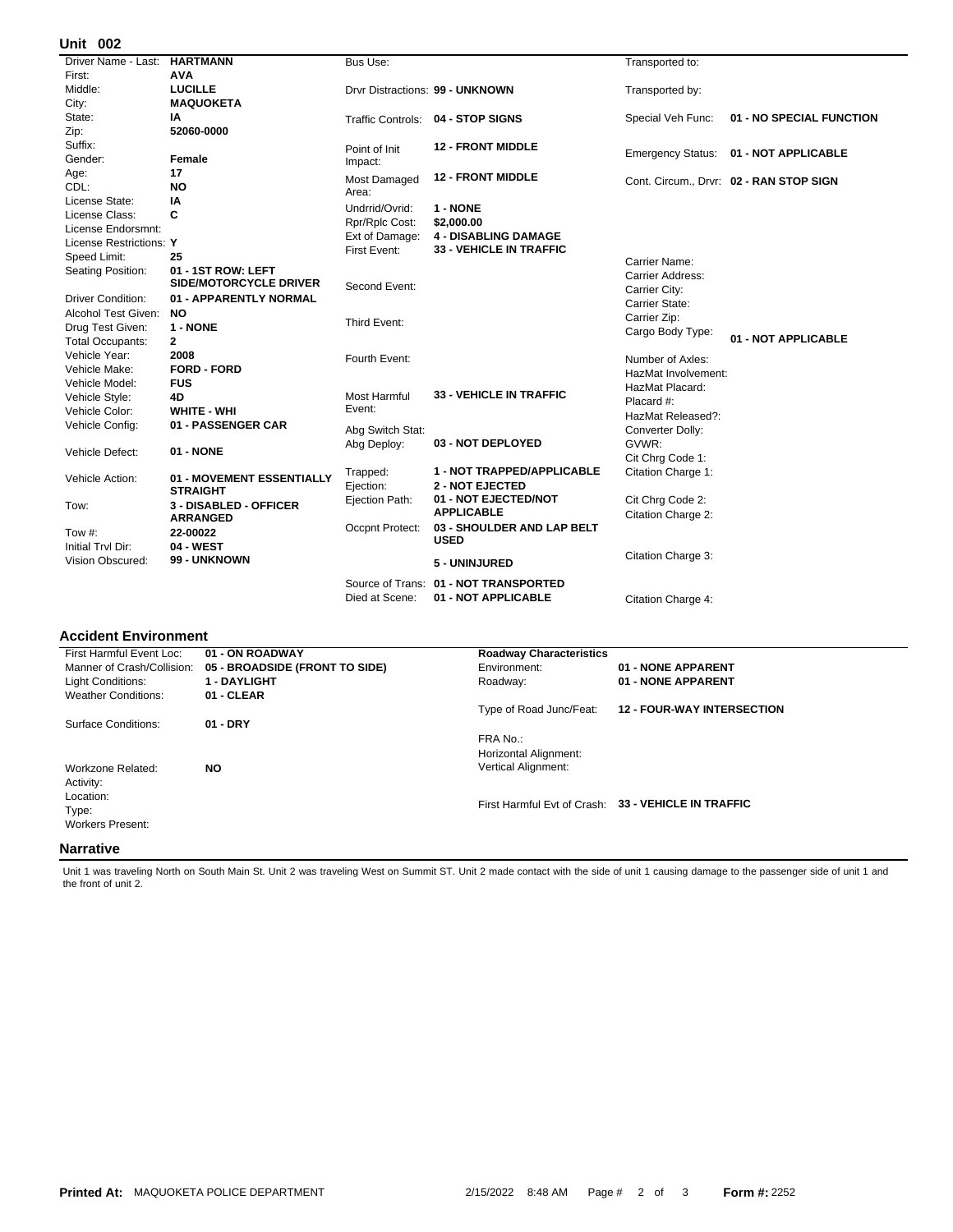## **002 Unit**

| UIIIL VUZ                |                               |                  |                                   |                     |                                         |
|--------------------------|-------------------------------|------------------|-----------------------------------|---------------------|-----------------------------------------|
| Driver Name - Last:      | <b>HARTMANN</b>               | Bus Use:         |                                   | Transported to:     |                                         |
| First:                   | <b>AVA</b>                    |                  |                                   |                     |                                         |
| Middle:                  | <b>LUCILLE</b>                |                  | Drvr Distractions: 99 - UNKNOWN   | Transported by:     |                                         |
| City:                    | <b>MAQUOKETA</b>              |                  |                                   |                     |                                         |
| State:                   | ΙA                            |                  | Traffic Controls: 04 - STOP SIGNS | Special Veh Func:   | 01 - NO SPECIAL FUNCTION                |
| Zip:                     | 52060-0000                    |                  |                                   |                     |                                         |
| Suffix:                  |                               | Point of Init    | <b>12 - FRONT MIDDLE</b>          |                     | Emergency Status: 01 - NOT APPLICABLE   |
| Gender:                  | Female                        | Impact:          |                                   |                     |                                         |
| Age:                     | 17                            | Most Damaged     | <b>12 - FRONT MIDDLE</b>          |                     |                                         |
| CDL:                     | <b>NO</b>                     | Area:            |                                   |                     | Cont. Circum., Drvr: 02 - RAN STOP SIGN |
| License State:           | ΙA                            | Undrrid/Ovrid:   | 1 - NONE                          |                     |                                         |
| License Class:           | C                             | Rpr/Rplc Cost:   | \$2,000.00                        |                     |                                         |
| License Endorsmnt:       |                               | Ext of Damage:   | <b>4 - DISABLING DAMAGE</b>       |                     |                                         |
| License Restrictions: Y  |                               | First Event:     | <b>33 - VEHICLE IN TRAFFIC</b>    |                     |                                         |
| Speed Limit:             | 25                            |                  |                                   | Carrier Name:       |                                         |
| Seating Position:        | 01 - 1ST ROW: LEFT            |                  |                                   | Carrier Address:    |                                         |
|                          | <b>SIDE/MOTORCYCLE DRIVER</b> | Second Event:    |                                   | Carrier City:       |                                         |
| <b>Driver Condition:</b> | 01 - APPARENTLY NORMAL        |                  |                                   | Carrier State:      |                                         |
| Alcohol Test Given:      | <b>NO</b>                     |                  |                                   | Carrier Zip:        |                                         |
| Drug Test Given:         | 1 - NONE                      | Third Event:     |                                   | Cargo Body Type:    |                                         |
| <b>Total Occupants:</b>  | $\mathbf{2}$                  |                  |                                   |                     | 01 - NOT APPLICABLE                     |
| Vehicle Year:            | 2008                          | Fourth Event:    |                                   | Number of Axles:    |                                         |
| Vehicle Make:            | <b>FORD - FORD</b>            |                  |                                   | HazMat Involvement: |                                         |
| Vehicle Model:           | <b>FUS</b>                    |                  |                                   | HazMat Placard:     |                                         |
| Vehicle Style:           | 4D                            | Most Harmful     | <b>33 - VEHICLE IN TRAFFIC</b>    | Placard #:          |                                         |
| Vehicle Color:           | <b>WHITE - WHI</b>            | Event:           |                                   | HazMat Released?:   |                                         |
| Vehicle Config:          | 01 - PASSENGER CAR            | Abg Switch Stat: |                                   | Converter Dolly:    |                                         |
|                          |                               | Abg Deploy:      | 03 - NOT DEPLOYED                 | GVWR:               |                                         |
| Vehicle Defect:          | 01 - NONE                     |                  |                                   | Cit Chrg Code 1:    |                                         |
|                          |                               | Trapped:         | 1 - NOT TRAPPED/APPLICABLE        | Citation Charge 1:  |                                         |
| Vehicle Action:          | 01 - MOVEMENT ESSENTIALLY     | Ejection:        | <b>2 - NOT EJECTED</b>            |                     |                                         |
|                          | <b>STRAIGHT</b>               | Ejection Path:   | 01 - NOT EJECTED/NOT              | Cit Chrq Code 2:    |                                         |
| Tow:                     | 3 - DISABLED - OFFICER        |                  | <b>APPLICABLE</b>                 | Citation Charge 2:  |                                         |
|                          | <b>ARRANGED</b>               | Occpnt Protect:  | 03 - SHOULDER AND LAP BELT        |                     |                                         |
| Tow #:                   | 22-00022                      |                  | <b>USED</b>                       |                     |                                         |
| Initial Tryl Dir:        | 04 - WEST                     |                  |                                   | Citation Charge 3:  |                                         |
| Vision Obscured:         | 99 - UNKNOWN                  |                  | 5 - UNINJURED                     |                     |                                         |
|                          |                               | Source of Trans: | 01 - NOT TRANSPORTED              |                     |                                         |
|                          |                               | Died at Scene:   | 01 - NOT APPLICABLE               | Citation Charge 4:  |                                         |
|                          |                               |                  |                                   |                     |                                         |

## **Accident Environment**

| First Harmful Event Loc:                      | 01 - ON ROADWAY                | <b>Roadway Characteristics</b>    |                                                     |  |
|-----------------------------------------------|--------------------------------|-----------------------------------|-----------------------------------------------------|--|
| Manner of Crash/Collision:                    | 05 - BROADSIDE (FRONT TO SIDE) | Environment:                      | 01 - NONE APPARENT                                  |  |
| Light Conditions:                             | <b>1 - DAYLIGHT</b>            | Roadway:                          | 01 - NONE APPARENT                                  |  |
| <b>Weather Conditions:</b>                    | 01 - CLEAR                     |                                   |                                                     |  |
|                                               |                                | Type of Road Junc/Feat:           | <b>12 - FOUR-WAY INTERSECTION</b>                   |  |
| Surface Conditions:                           | $01 - DRY$                     |                                   |                                                     |  |
|                                               |                                | FRA No.:<br>Horizontal Alignment: |                                                     |  |
| Workzone Related:<br>Activity:                | <b>NO</b>                      | <b>Vertical Alignment:</b>        |                                                     |  |
| Location:<br>Type:<br><b>Workers Present:</b> |                                |                                   | First Harmful Evt of Crash: 33 - VEHICLE IN TRAFFIC |  |
| Narrativa                                     |                                |                                   |                                                     |  |

## **Narrative**

Unit 1 was traveling North on South Main St. Unit 2 was traveling West on Summit ST. Unit 2 made contact with the side of unit 1 causing damage to the passenger side of unit 1 and the front of unit 2.